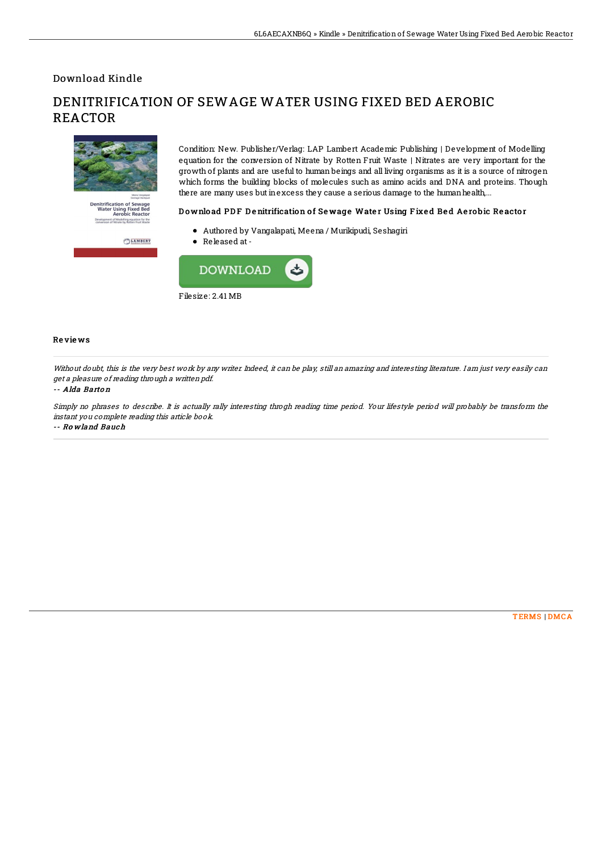Download Kindle

REACTOR

# **Denitrification of Sewage<br>Water Using Fixed Bed<br>Aerobic Reactor** odelling equation for the ent of M

 $\binom{LAp}{r}$ LAMBERT

Condition: New. Publisher/Verlag: LAP Lambert Academic Publishing | Development of Modelling equation for the conversion of Nitrate by Rotten Fruit Waste | Nitrates are very important for the growth of plants and are useful to human beings and all living organisms as it is a source of nitrogen which forms the building blocks of molecules such as amino acids and DNA and proteins. Though there are many uses but in excess they cause a serious damage to the human health,...

### Download PDF Denitrification of Sewage Water Using Fixed Bed Aerobic Reactor

Authored by Vangalapati, Meena / Murikipudi, Seshagiri

DENITRIFICATION OF SEWAGE WATER USING FIXED BED AEROBIC

Released at-



#### Re vie ws

Without doubt, this is the very best work by any writer. Indeed, it can be play, still an amazing and interesting literature. I am just very easily can get <sup>a</sup> pleasure of reading through <sup>a</sup> written pdf.

#### -- Alda Barto <sup>n</sup>

Simply no phrases to describe. It is actually rally interesting throgh reading time period. Your lifestyle period will probably be transform the instant you complete reading this article book. -- Ro wland Bauch